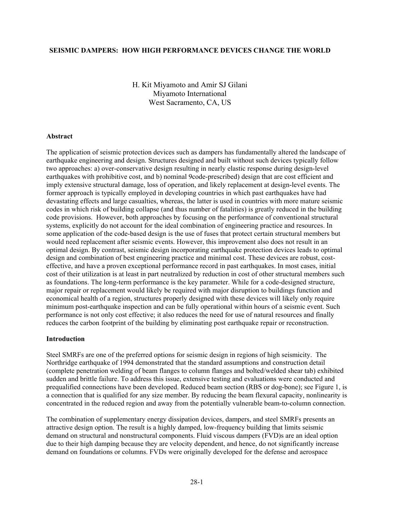#### **SEISMIC DAMPERS: HOW HIGH PERFORMANCE DEVICES CHANGE THE WORLD**

H. Kit Miyamoto and Amir SJ Gilani Miyamoto International West Sacramento, CA, US

#### **Abstract**

The application of seismic protection devices such as dampers has fundamentally altered the landscape of earthquake engineering and design. Structures designed and built without such devices typically follow two approaches: a) over-conservative design resulting in nearly elastic response during design-level earthquakes with prohibitive cost, and b) nominal 9code-prescribed) design that are cost efficient and imply extensive structural damage, loss of operation, and likely replacement at design-level events. The former approach is typically employed in developing countries in which past earthquakes have had devastating effects and large casualties, whereas, the latter is used in countries with more mature seismic codes in which risk of building collapse (and thus number of fatalities) is greatly reduced in the building code provisions. However, both approaches by focusing on the performance of conventional structural systems, explicitly do not account for the ideal combination of engineering practice and resources. In some application of the code-based design is the use of fuses that protect certain structural members but would need replacement after seismic events. However, this improvement also does not result in an optimal design. By contrast, seismic design incorporating earthquake protection devices leads to optimal design and combination of best engineering practice and minimal cost. These devices are robust, costeffective, and have a proven exceptional performance record in past earthquakes. In most cases, initial cost of their utilization is at least in part neutralized by reduction in cost of other structural members such as foundations. The long-term performance is the key parameter. While for a code-designed structure, major repair or replacement would likely be required with major disruption to buildings function and economical health of a region, structures properly designed with these devices will likely only require minimum post-earthquake inspection and can be fully operational within hours of a seismic event. Such performance is not only cost effective; it also reduces the need for use of natural resources and finally reduces the carbon footprint of the building by eliminating post earthquake repair or reconstruction.

#### **Introduction**

Steel SMRFs are one of the preferred options for seismic design in regions of high seismicity. The Northridge earthquake of 1994 demonstrated that the standard assumptions and construction detail (complete penetration welding of beam flanges to column flanges and bolted/welded shear tab) exhibited sudden and brittle failure. To address this issue, extensive testing and evaluations were conducted and prequalified connections have been developed. Reduced beam section (RBS or dog-bone); see Figure 1, is a connection that is qualified for any size member. By reducing the beam flexural capacity, nonlinearity is concentrated in the reduced region and away from the potentially vulnerable beam-to-column connection.

The combination of supplementary energy dissipation devices, dampers, and steel SMRFs presents an attractive design option. The result is a highly damped, low-frequency building that limits seismic demand on structural and nonstructural components. Fluid viscous dampers (FVD)s are an ideal option due to their high damping because they are velocity dependent, and hence, do not significantly increase demand on foundations or columns. FVDs were originally developed for the defense and aerospace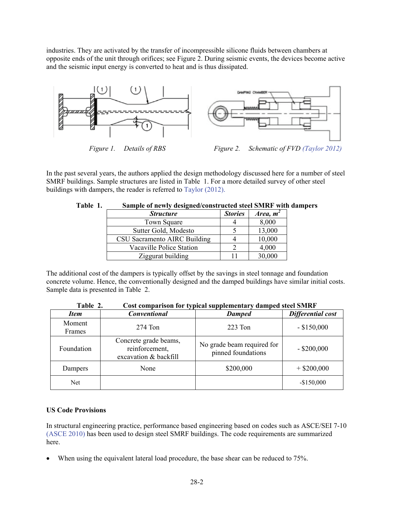industries. They are activated by the transfer of incompressible silicone fluids between chambers at opposite ends of the unit through orifices; see Figure 2. During seismic events, the devices become active and the seismic input energy is converted to heat and is thus dissipated.



In the past several years, the authors applied the design methodology discussed here for a number of steel SMRF buildings. Sample structures are listed in Table 1. For a more detailed survey of other steel buildings with dampers, the reader is referred to Taylor (2012).

| <b>Structure</b>             | <b>Stories</b> | Area, $m^2$ |
|------------------------------|----------------|-------------|
| <b>Town Square</b>           |                | 8,000       |
| Sutter Gold, Modesto         |                | 13,000      |
| CSU Sacramento AIRC Building |                | 10,000      |
| Vacaville Police Station     |                | 4,000       |
| Ziggurat building            |                | 30,000      |

# **Table 1. Sample of newly designed/constructed steel SMRF with dampers**

The additional cost of the dampers is typically offset by the savings in steel tonnage and foundation concrete volume. Hence, the conventionally designed and the damped buildings have similar initial costs. Sample data is presented in Table 2.

|                  | cost comparison for typical supprementary uninpeu steel sitere   |                                                  |                   |  |  |  |
|------------------|------------------------------------------------------------------|--------------------------------------------------|-------------------|--|--|--|
| <b>Item</b>      | <b>Conventional</b>                                              | <b>Damped</b>                                    | Differential cost |  |  |  |
| Moment<br>Frames | $274$ Ton                                                        | 223 Ton                                          | $-$ \$150,000     |  |  |  |
| Foundation       | Concrete grade beams,<br>reinforcement,<br>excavation & backfill | No grade beam required for<br>pinned foundations | $-$ \$200,000     |  |  |  |
| Dampers          | None                                                             | \$200,000                                        | $+$ \$200,000     |  |  |  |
| Net              |                                                                  |                                                  | $-$150,000$       |  |  |  |

**Table 2. Cost comparison for typical supplementary damped steel SMRF** 

## **US Code Provisions**

In structural engineering practice, performance based engineering based on codes such as ASCE/SEI 7-10 (ASCE 2010) has been used to design steel SMRF buildings. The code requirements are summarized here.

When using the equivalent lateral load procedure, the base shear can be reduced to 75%.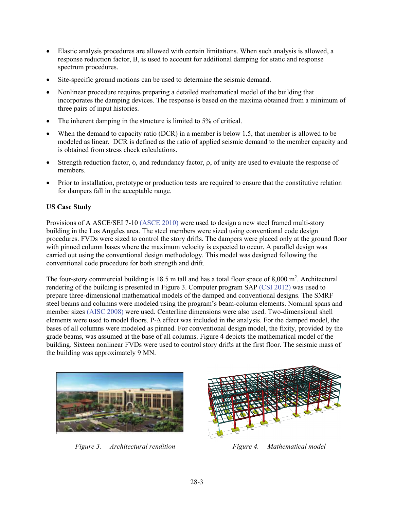- Elastic analysis procedures are allowed with certain limitations. When such analysis is allowed, a response reduction factor, B, is used to account for additional damping for static and response spectrum procedures.
- Site-specific ground motions can be used to determine the seismic demand.
- Nonlinear procedure requires preparing a detailed mathematical model of the building that incorporates the damping devices. The response is based on the maxima obtained from a minimum of three pairs of input histories.
- The inherent damping in the structure is limited to 5% of critical.
- When the demand to capacity ratio (DCR) in a member is below 1.5, that member is allowed to be modeled as linear. DCR is defined as the ratio of applied seismic demand to the member capacity and is obtained from stress check calculations.
- Strength reduction factor,  $\phi$ , and redundancy factor,  $\rho$ , of unity are used to evaluate the response of members.
- Prior to installation, prototype or production tests are required to ensure that the constitutive relation for dampers fall in the acceptable range.

# **US Case Study**

Provisions of A ASCE/SEI 7-10 (ASCE 2010) were used to design a new steel framed multi-story building in the Los Angeles area. The steel members were sized using conventional code design procedures. FVDs were sized to control the story drifts. The dampers were placed only at the ground floor with pinned column bases where the maximum velocity is expected to occur. A parallel design was carried out using the conventional design methodology. This model was designed following the conventional code procedure for both strength and drift.

The four-story commercial building is 18.5 m tall and has a total floor space of  $8,000 \text{ m}^2$ . Architectural rendering of the building is presented in Figure 3. Computer program SAP (CSI 2012) was used to prepare three-dimensional mathematical models of the damped and conventional designs. The SMRF steel beams and columns were modeled using the program's beam-column elements. Nominal spans and member sizes (AISC 2008) were used. Centerline dimensions were also used. Two-dimensional shell elements were used to model floors.  $P-\Delta$  effect was included in the analysis. For the damped model, the bases of all columns were modeled as pinned. For conventional design model, the fixity, provided by the grade beams, was assumed at the base of all columns. Figure 4 depicts the mathematical model of the building. Sixteen nonlinear FVDs were used to control story drifts at the first floor. The seismic mass of the building was approximately 9 MN.



*Figure 3. Architectural rendition Figure 4. Mathematical model* 

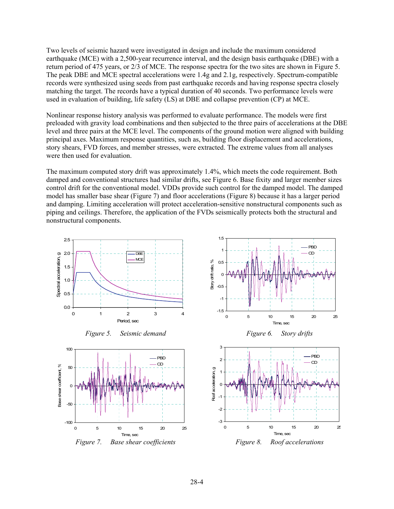Two levels of seismic hazard were investigated in design and include the maximum considered earthquake (MCE) with a 2,500-year recurrence interval, and the design basis earthquake (DBE) with a return period of 475 years, or 2/3 of MCE. The response spectra for the two sites are shown in Figure 5. The peak DBE and MCE spectral accelerations were 1.4g and 2.1g, respectively. Spectrum-compatible records were synthesized using seeds from past earthquake records and having response spectra closely matching the target. The records have a typical duration of 40 seconds. Two performance levels were used in evaluation of building, life safety (LS) at DBE and collapse prevention (CP) at MCE.

Nonlinear response history analysis was performed to evaluate performance. The models were first preloaded with gravity load combinations and then subjected to the three pairs of accelerations at the DBE level and three pairs at the MCE level. The components of the ground motion were aligned with building principal axes. Maximum response quantities, such as, building floor displacement and accelerations, story shears, FVD forces, and member stresses, were extracted. The extreme values from all analyses were then used for evaluation.

The maximum computed story drift was approximately 1.4%, which meets the code requirement. Both damped and conventional structures had similar drifts, see Figure 6. Base fixity and larger member sizes control drift for the conventional model. VDDs provide such control for the damped model. The damped model has smaller base shear (Figure 7) and floor accelerations (Figure 8) because it has a larger period and damping. Limiting acceleration will protect acceleration-sensitive nonstructural components such as piping and ceilings. Therefore, the application of the FVDs seismically protects both the structural and nonstructural components.

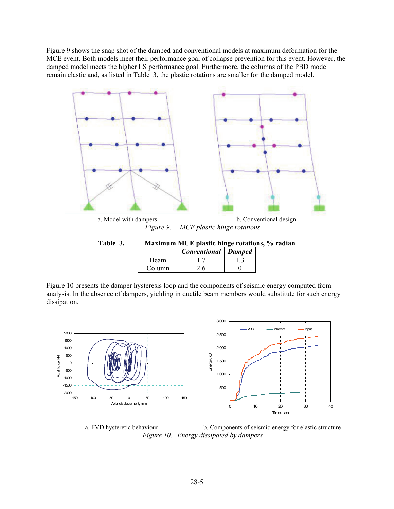Figure 9 shows the snap shot of the damped and conventional models at maximum deformation for the MCE event. Both models meet their performance goal of collapse prevention for this event. However, the damped model meets the higher LS performance goal. Furthermore, the columns of the PBD model remain elastic and, as listed in Table 3, the plastic rotations are smaller for the damped model.



| Table 3. | Maximum MCE plastic hinge rotations, % radian |                       |  |  |  |  |
|----------|-----------------------------------------------|-----------------------|--|--|--|--|
|          |                                               | Conventional   Damped |  |  |  |  |
|          | Beam                                          |                       |  |  |  |  |
|          | Column                                        | 2.6                   |  |  |  |  |

Figure 10 presents the damper hysteresis loop and the components of seismic energy computed from analysis. In the absence of dampers, yielding in ductile beam members would substitute for such energy dissipation.



a. FVD hysteretic behaviour b. Components of seismic energy for elastic structure *Figure 10. Energy dissipated by dampers*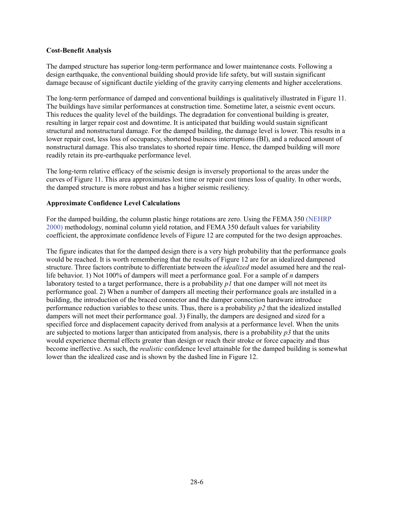## **Cost-Benefit Analysis**

The damped structure has superior long-term performance and lower maintenance costs. Following a design earthquake, the conventional building should provide life safety, but will sustain significant damage because of significant ductile yielding of the gravity carrying elements and higher accelerations.

The long-term performance of damped and conventional buildings is qualitatively illustrated in Figure 11. The buildings have similar performances at construction time. Sometime later, a seismic event occurs. This reduces the quality level of the buildings. The degradation for conventional building is greater, resulting in larger repair cost and downtime. It is anticipated that building would sustain significant structural and nonstructural damage. For the damped building, the damage level is lower. This results in a lower repair cost, less loss of occupancy, shortened business interruptions (BI), and a reduced amount of nonstructural damage. This also translates to shorted repair time. Hence, the damped building will more readily retain its pre-earthquake performance level.

The long-term relative efficacy of the seismic design is inversely proportional to the areas under the curves of Figure 11. This area approximates lost time or repair cost times loss of quality. In other words, the damped structure is more robust and has a higher seismic resiliency.

#### **Approximate Confidence Level Calculations**

For the damped building, the column plastic hinge rotations are zero. Using the FEMA 350 (NEHRP 2000) methodology, nominal column yield rotation, and FEMA 350 default values for variability coefficient, the approximate confidence levels of Figure 12 are computed for the two design approaches.

The figure indicates that for the damped design there is a very high probability that the performance goals would be reached. It is worth remembering that the results of Figure 12 are for an idealized dampened structure. Three factors contribute to differentiate between the *idealized* model assumed here and the reallife behavior. 1) Not 100% of dampers will meet a performance goal. For a sample of *n* dampers laboratory tested to a target performance, there is a probability *p1* that one damper will not meet its performance goal. 2) When a number of dampers all meeting their performance goals are installed in a building, the introduction of the braced connector and the damper connection hardware introduce performance reduction variables to these units. Thus, there is a probability *p2* that the idealized installed dampers will not meet their performance goal. 3) Finally, the dampers are designed and sized for a specified force and displacement capacity derived from analysis at a performance level. When the units are subjected to motions larger than anticipated from analysis, there is a probability  $p3$  that the units would experience thermal effects greater than design or reach their stroke or force capacity and thus become ineffective. As such, the *realistic* confidence level attainable for the damped building is somewhat lower than the idealized case and is shown by the dashed line in Figure 12.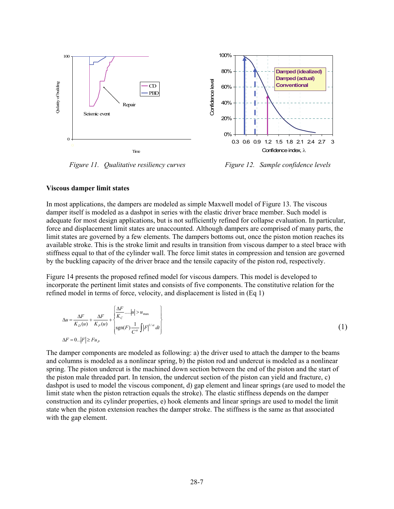

*Figure 11. Qualitative resiliency curves Figure 12. Sample confidence levels* 

#### **Viscous damper limit states**

In most applications, the dampers are modeled as simple Maxwell model of Figure 13. The viscous damper itself is modeled as a dashpot in series with the elastic driver brace member. Such model is adequate for most design applications, but is not sufficiently refined for collapse evaluation. In particular, force and displacement limit states are unaccounted. Although dampers are comprised of many parts, the limit states are governed by a few elements. The dampers bottoms out, once the piston motion reaches its available stroke. This is the stroke limit and results in transition from viscous damper to a steel brace with stiffness equal to that of the cylinder wall. The force limit states in compression and tension are governed by the buckling capacity of the driver brace and the tensile capacity of the piston rod, respectively.

Figure 14 presents the proposed refined model for viscous dampers. This model is developed to incorporate the pertinent limit states and consists of five components. The constitutive relation for the refined model in terms of force, velocity, and displacement is listed in (Eq 1)

$$
\Delta u = \frac{\Delta F}{K_D(u)} + \frac{\Delta F}{K_P(u)} + \begin{cases} \frac{\Delta F}{K_C} \dots |u| > u_{\text{max}} \\ \text{sgn}(F) \frac{1}{C^{\alpha}} \int |F|^{1/\alpha} dt \end{cases}
$$
  

$$
\Delta F = 0..|F| \ge Fu_P
$$
 (1)

The damper components are modeled as following: a) the driver used to attach the damper to the beams and columns is modeled as a nonlinear spring, b) the piston rod and undercut is modeled as a nonlinear spring. The piston undercut is the machined down section between the end of the piston and the start of the piston male threaded part. In tension, the undercut section of the piston can yield and fracture, c) dashpot is used to model the viscous component, d) gap element and linear springs (are used to model the limit state when the piston retraction equals the stroke). The elastic stiffness depends on the damper construction and its cylinder properties, e) hook elements and linear springs are used to model the limit state when the piston extension reaches the damper stroke. The stiffness is the same as that associated with the gap element.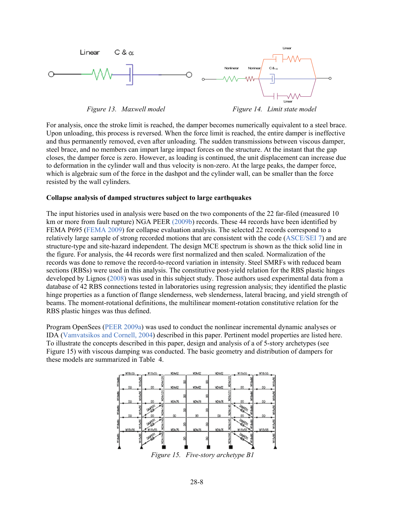

For analysis, once the stroke limit is reached, the damper becomes numerically equivalent to a steel brace. Upon unloading, this process is reversed. When the force limit is reached, the entire damper is ineffective and thus permanently removed, even after unloading. The sudden transmissions between viscous damper, steel brace, and no members can impart large impact forces on the structure. At the instant that the gap closes, the damper force is zero. However, as loading is continued, the unit displacement can increase due to deformation in the cylinder wall and thus velocity is non-zero. At the large peaks, the damper force, which is algebraic sum of the force in the dashpot and the cylinder wall, can be smaller than the force resisted by the wall cylinders.

### **Collapse analysis of damped structures subject to large earthquakes**

The input histories used in analysis were based on the two components of the 22 far-filed (measured 10 km or more from fault rupture) NGA PEER (2009b) records. These 44 records have been identified by FEMA P695 (FEMA 2009) for collapse evaluation analysis. The selected 22 records correspond to a relatively large sample of strong recorded motions that are consistent with the code (ASCE/SEI 7) and are structure-type and site-hazard independent. The design MCE spectrum is shown as the thick solid line in the figure. For analysis, the 44 records were first normalized and then scaled. Normalization of the records was done to remove the record-to-record variation in intensity. Steel SMRFs with reduced beam sections (RBSs) were used in this analysis. The constitutive post-yield relation for the RBS plastic hinges developed by Lignos (2008) was used in this subject study. Those authors used experimental data from a database of 42 RBS connections tested in laboratories using regression analysis; they identified the plastic hinge properties as a function of flange slenderness, web slenderness, lateral bracing, and yield strength of beams. The moment-rotational definitions, the multilinear moment-rotation constitutive relation for the RBS plastic hinges was thus defined.

Program OpenSees (PEER 2009a) was used to conduct the nonlinear incremental dynamic analyses or IDA (Vamvatsikos and Cornell, 2004) described in this paper. Pertinent model properties are listed here. To illustrate the concepts described in this paper, design and analysis of a of 5-story archetypes (see Figure 15) with viscous damping was conducted. The basic geometry and distribution of dampers for these models are summarized in Table 4.

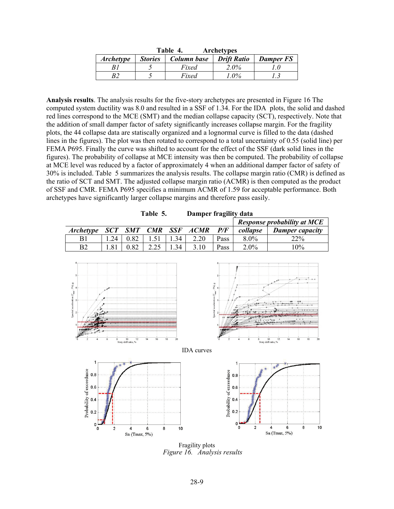|                  | Table 4.<br><b>Archetypes</b> |             |                    |                  |  |  |
|------------------|-------------------------------|-------------|--------------------|------------------|--|--|
| <b>Archetype</b> | <b>Stories</b>                | Column base | <b>Drift Ratio</b> | <b>Damper FS</b> |  |  |
|                  |                               | Fixed       | 2.0%               |                  |  |  |
|                  |                               | Fixed       | $.0\%$             |                  |  |  |

**Analysis results**. The analysis results for the five-story archetypes are presented in Figure 16 The computed system ductility was 8.0 and resulted in a SSF of 1.34. For the IDA plots, the solid and dashed red lines correspond to the MCE (SMT) and the median collapse capacity (SCT), respectively. Note that the addition of small damper factor of safety significantly increases collapse margin. For the fragility plots, the 44 collapse data are statiscally organized and a lognormal curve is filled to the data (dashed lines in the figures). The plot was then rotated to correspond to a total uncertainty of 0.55 (solid line) per FEMA P695. Finally the curve was shifted to account for the effect of the SSF (dark solid lines in the figures). The probability of collapse at MCE intensity was then be computed. The probability of collapse at MCE level was reduced by a factor of approximately 4 when an additional damper factor of safety of 30% is included. Table 5 summarizes the analysis results. The collapse margin ratio (CMR) is defined as the ratio of SCT and SMT. The adjusted collapse margin ratio (ACMR) is then computed as the product of SSF and CMR. FEMA P695 specifies a minimum ACMR of 1.59 for acceptable performance. Both archetypes have significantly larger collapse margins and therefore pass easily.

|                  |     |      | Table 5. | Damper tragility data |                      |      |                                    |                        |
|------------------|-----|------|----------|-----------------------|----------------------|------|------------------------------------|------------------------|
|                  |     |      |          |                       |                      |      | <b>Response probability at MCE</b> |                        |
| <i>Archetype</i> |     |      |          |                       | SCT SMT CMR SSF ACMR | P/F  | collapse                           | <b>Damper</b> capacity |
| B <sub>1</sub>   | .24 | 0.82 |          | 34                    | 2.20                 | Pass | $8.0\%$                            | <b>22%</b>             |
| B2               | .81 | 0.82 | 2.25     | 34                    | 3.10                 | Pass | $2.0\%$                            | 10%                    |
|                  |     |      |          |                       |                      |      |                                    |                        |

| Damper fragility data<br>Table 5. |  |
|-----------------------------------|--|
|-----------------------------------|--|



Fragility plots *Figure 16. Analysis results*